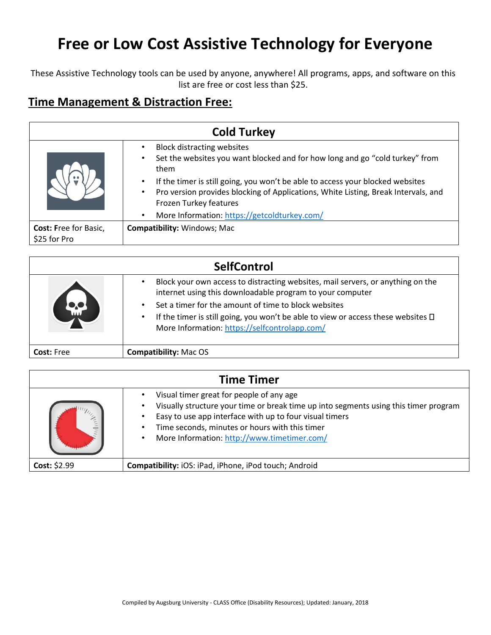These Assistive Technology tools can be used by anyone, anywhere! All programs, apps, and software on this list are free or cost less than \$25.

#### **Time Management & Distraction Free:**

| <b>Cold Turkey</b>                           |                                                                                                                                                                                                                                                                                                                                                                             |
|----------------------------------------------|-----------------------------------------------------------------------------------------------------------------------------------------------------------------------------------------------------------------------------------------------------------------------------------------------------------------------------------------------------------------------------|
|                                              | <b>Block distracting websites</b><br>Set the websites you want blocked and for how long and go "cold turkey" from<br>them<br>If the timer is still going, you won't be able to access your blocked websites<br>Pro version provides blocking of Applications, White Listing, Break Intervals, and<br>Frozen Turkey features<br>More Information: https://getcoldturkey.com/ |
| <b>Cost: Free for Basic,</b><br>\$25 for Pro | <b>Compatibility: Windows; Mac</b>                                                                                                                                                                                                                                                                                                                                          |

|                   | <b>SelfControl</b>                                                                                                                                                                                                                                                                                                                              |
|-------------------|-------------------------------------------------------------------------------------------------------------------------------------------------------------------------------------------------------------------------------------------------------------------------------------------------------------------------------------------------|
| <b>o.c</b>        | Block your own access to distracting websites, mail servers, or anything on the<br>internet using this downloadable program to your computer<br>Set a timer for the amount of time to block websites<br>If the timer is still going, you won't be able to view or access these websites $\Box$<br>More Information: https://selfcontrolapp.com/ |
| <b>Cost:</b> Free | <b>Compatibility: Mac OS</b>                                                                                                                                                                                                                                                                                                                    |

| <b>Time Timer</b> |                                                                                                                                                                                                                                                                                                                        |
|-------------------|------------------------------------------------------------------------------------------------------------------------------------------------------------------------------------------------------------------------------------------------------------------------------------------------------------------------|
|                   | Visual timer great for people of any age<br>Visually structure your time or break time up into segments using this timer program<br>$\bullet$<br>Easy to use app interface with up to four visual timers<br>Time seconds, minutes or hours with this timer<br>More Information: http://www.timetimer.com/<br>$\bullet$ |
| Cost: \$2.99      | Compatibility: iOS: iPad, iPhone, iPod touch; Android                                                                                                                                                                                                                                                                  |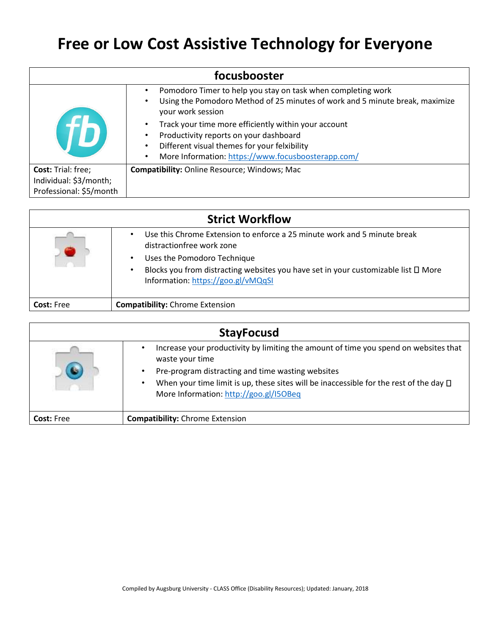| focusbooster              |                                                                                                                                                                   |
|---------------------------|-------------------------------------------------------------------------------------------------------------------------------------------------------------------|
|                           | Pomodoro Timer to help you stay on task when completing work<br>Using the Pomodoro Method of 25 minutes of work and 5 minute break, maximize<br>your work session |
|                           | Track your time more efficiently within your account<br>Productivity reports on your dashboard                                                                    |
|                           | Different visual themes for your felxibility                                                                                                                      |
|                           | More Information: https://www.focusboosterapp.com/                                                                                                                |
| <b>Cost: Trial: free;</b> | <b>Compatibility:</b> Online Resource; Windows; Mac                                                                                                               |
| Individual: \$3/month;    |                                                                                                                                                                   |
| Professional: \$5/month   |                                                                                                                                                                   |

|                   | <b>Strict Workflow</b>                                                                                                           |
|-------------------|----------------------------------------------------------------------------------------------------------------------------------|
|                   | Use this Chrome Extension to enforce a 25 minute work and 5 minute break<br>distractionfree work zone                            |
|                   | Uses the Pomodoro Technique                                                                                                      |
|                   | Blocks you from distracting websites you have set in your customizable list $\square$ More<br>Information: https://goo.gl/vMQqSI |
| <b>Cost: Free</b> | <b>Compatibility:</b> Chrome Extension                                                                                           |

|                   | <b>StayFocusd</b>                                                                                                                                            |
|-------------------|--------------------------------------------------------------------------------------------------------------------------------------------------------------|
|                   | Increase your productivity by limiting the amount of time you spend on websites that<br>waste your time<br>Pre-program distracting and time wasting websites |
|                   | When your time limit is up, these sites will be inaccessible for the rest of the day $\Box$<br>$\bullet$<br>More Information: http://goo.gl/I5OBeq           |
| <b>Cost: Free</b> | <b>Compatibility:</b> Chrome Extension                                                                                                                       |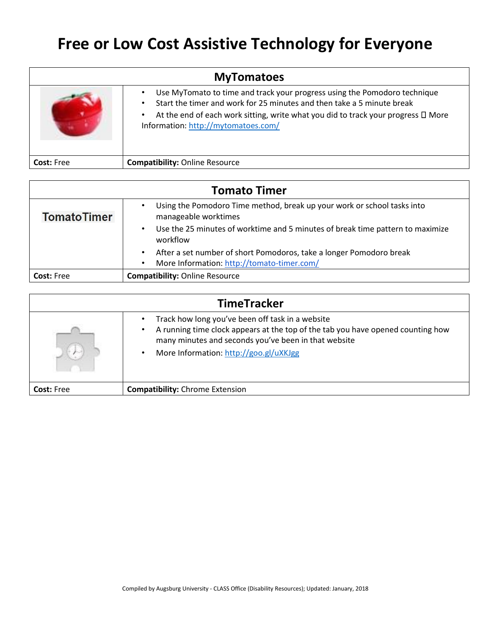| <b>MyTomatoes</b> |                                                                                                                                                                                                                                                                                                        |
|-------------------|--------------------------------------------------------------------------------------------------------------------------------------------------------------------------------------------------------------------------------------------------------------------------------------------------------|
|                   | Use MyTomato to time and track your progress using the Pomodoro technique<br>Start the timer and work for 25 minutes and then take a 5 minute break<br>$\bullet$<br>At the end of each work sitting, write what you did to track your progress $\Box$ More<br>٠<br>Information: http://mytomatoes.com/ |
| <b>Cost: Free</b> | <b>Compatibility: Online Resource</b>                                                                                                                                                                                                                                                                  |

| <b>Tomato Timer</b> |                                                                                                              |
|---------------------|--------------------------------------------------------------------------------------------------------------|
| <b>TomatoTimer</b>  | Using the Pomodoro Time method, break up your work or school tasks into<br>$\bullet$<br>manageable worktimes |
|                     | Use the 25 minutes of worktime and 5 minutes of break time pattern to maximize<br>$\bullet$<br>workflow      |
|                     | After a set number of short Pomodoros, take a longer Pomodoro break<br>$\bullet$                             |
|                     | More Information: http://tomato-timer.com/<br>$\bullet$                                                      |
| <b>Cost: Free</b>   | <b>Compatibility: Online Resource</b>                                                                        |

| <b>TimeTracker</b> |                                                                                                                                                                                                                                                                 |
|--------------------|-----------------------------------------------------------------------------------------------------------------------------------------------------------------------------------------------------------------------------------------------------------------|
|                    | Track how long you've been off task in a website<br>A running time clock appears at the top of the tab you have opened counting how<br>$\bullet$<br>many minutes and seconds you've been in that website<br>More Information: http://goo.gl/uXKJgg<br>$\bullet$ |
| <b>Cost:</b> Free  | <b>Compatibility:</b> Chrome Extension                                                                                                                                                                                                                          |